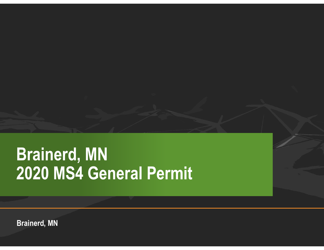## **Brainerd, MN 2020 MS4 General Permit**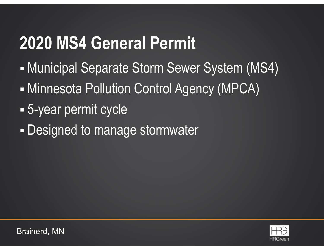- Municipal Separate Storm Sewer System (MS4)
- Minnesota Pollution Control Agency (MPCA)
- Ξ 5-year permit cycle
- Designed to manage stormwater

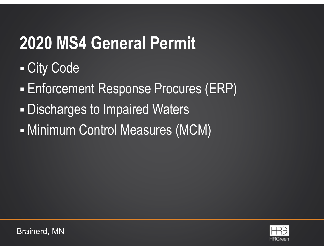- City Code
- Enforcement Response Procures (ERP)
- Ξ Discharges to Impaired Waters
- Minimum Control Measures (MCM)

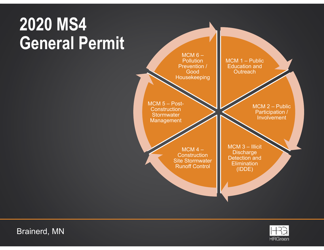

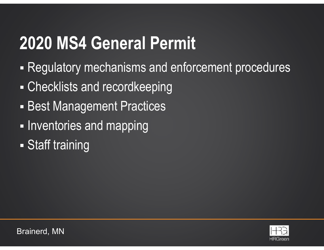- П Regulatory mechanisms and enforcement procedures
- П Checklists and recordkeeping
- l. **- Best Management Practices**
- I. **- Inventories and mapping**
- П Staff training

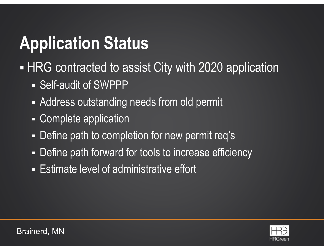# **Application Status**

- П HRG contracted to assist City with 2020 application
	- Self-audit of SWPPP
	- L. Address outstanding needs from old permit
	- Г Complete application
	- Г Define path to completion for new permit req's
	- Г Define path forward for tools to increase efficiency
	- Estimate level of administrative effort

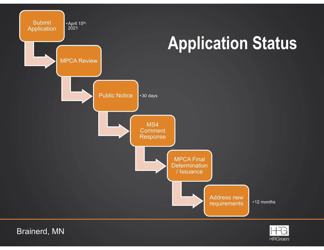

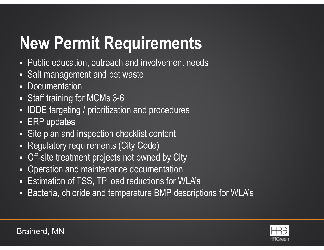# **New Permit Requirements**

- $\blacksquare$ Public education, outreach and involvement needs
- $\blacksquare$ Salt management and pet waste
- $\Box$ **Documentation**
- Staff training for MCMs 3-6
- $\blacksquare$ IDDE targeting / prioritization and procedures
- $\Box$ ERP updates
- $\Box$ Site plan and inspection checklist content
- $\Box$ Regulatory requirements (City Code)
- $\blacksquare$ Off-site treatment projects not owned by City
- $\blacksquare$ Operation and maintenance documentation
- $\Box$ Estimation of TSS, TP load reductions for WLA's
- $\Box$ Bacteria, chloride and temperature BMP descriptions for WLA's

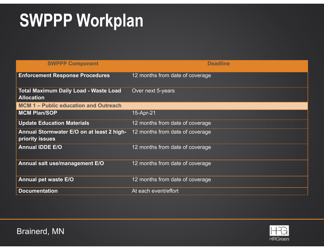| <b>SWPPP Component</b>                                            | <b>Deadline</b>                 |
|-------------------------------------------------------------------|---------------------------------|
| <b>Enforcement Response Procedures</b>                            | 12 months from date of coverage |
| <b>Total Maximum Daily Load - Waste Load</b><br><b>Allocation</b> | Over next 5-years               |
| <b>MCM 1 – Public education and Outreach</b>                      |                                 |
| <b>MCM Plan/SOP</b>                                               | 15-Apr-21                       |
| <b>Update Education Materials</b>                                 | 12 months from date of coverage |
| Annual Stormwater E/O on at least 2 high-<br>priority issues      | 12 months from date of coverage |
| <b>Annual IDDE E/O</b>                                            | 12 months from date of coverage |
| Annual salt use/management E/O                                    | 12 months from date of coverage |
| <b>Annual pet waste E/O</b>                                       | 12 months from date of coverage |
| <b>Documentation</b>                                              | At each event/effort            |

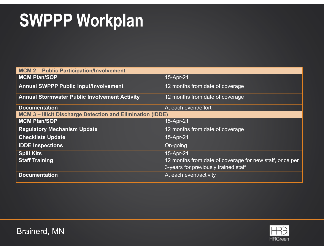| <b>MCM 2 - Public Participation/Involvement</b>                 |                                                                                                 |  |
|-----------------------------------------------------------------|-------------------------------------------------------------------------------------------------|--|
| <b>MCM Plan/SOP</b>                                             | 15-Apr-21                                                                                       |  |
| <b>Annual SWPPP Public Input/Involvement</b>                    | 12 months from date of coverage                                                                 |  |
| <b>Annual Stormwater Public Involvement Activity</b>            | 12 months from date of coverage                                                                 |  |
| <b>Documentation</b>                                            | At each event/effort                                                                            |  |
| <b>MCM 3-Illicit Discharge Detection and Elimination (IDDE)</b> |                                                                                                 |  |
| <b>MCM Plan/SOP</b>                                             | 15-Apr-21                                                                                       |  |
| <b>Regulatory Mechanism Update</b>                              | 12 months from date of coverage                                                                 |  |
| <b>Checklists Update</b>                                        | 15-Apr-21                                                                                       |  |
| <b>IDDE Inspections</b>                                         | On-going                                                                                        |  |
| <b>Spill Kits</b>                                               | 15-Apr-21                                                                                       |  |
| <b>Staff Training</b>                                           | 12 months from date of coverage for new staff, once per<br>3-years for previously trained staff |  |
| <b>Documentation</b>                                            | At each event/activity                                                                          |  |

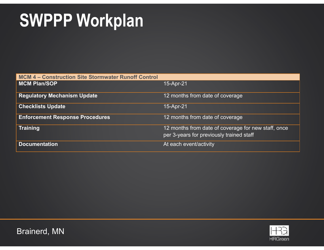| <b>MCM 4 - Construction Site Stormwater Runoff Control</b> |                                                                                                 |  |
|------------------------------------------------------------|-------------------------------------------------------------------------------------------------|--|
| <b>MCM Plan/SOP</b>                                        | 15-Apr-21                                                                                       |  |
| <b>Regulatory Mechanism Update</b>                         | 12 months from date of coverage                                                                 |  |
| <b>Checklists Update</b>                                   | 15-Apr-21                                                                                       |  |
| <b>Enforcement Response Procedures</b>                     | 12 months from date of coverage                                                                 |  |
| <b>Training</b>                                            | 12 months from date of coverage for new staff, once<br>per 3-years for previously trained staff |  |
| <b>Documentation</b>                                       | At each event/activity                                                                          |  |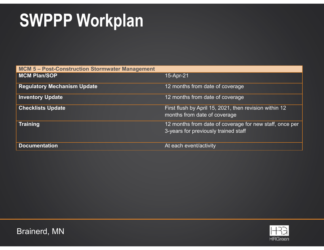| <b>MCM 5-Post-Construction Stormwater Management</b> |                                                                                                 |  |  |
|------------------------------------------------------|-------------------------------------------------------------------------------------------------|--|--|
| <b>MCM Plan/SOP</b>                                  | 15-Apr-21                                                                                       |  |  |
| <b>Regulatory Mechanism Update</b>                   | 12 months from date of coverage                                                                 |  |  |
| <b>Inventory Update</b>                              | 12 months from date of coverage                                                                 |  |  |
| <b>Checklists Update</b>                             | First flush by April 15, 2021, then revision within 12<br>months from date of coverage          |  |  |
| <b>Training</b>                                      | 12 months from date of coverage for new staff, once per<br>3-years for previously trained staff |  |  |
| <b>Documentation</b>                                 | At each event/activity                                                                          |  |  |

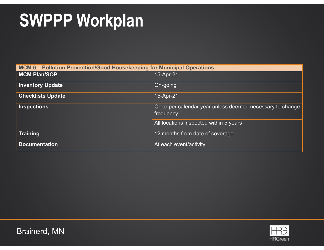| MCM 6 - Pollution Prevention/Good Housekeeping for Municipal Operations |                                                                       |  |  |
|-------------------------------------------------------------------------|-----------------------------------------------------------------------|--|--|
| <b>MCM Plan/SOP</b>                                                     | 15-Apr-21                                                             |  |  |
| <b>Inventory Update</b>                                                 | On-going                                                              |  |  |
| <b>Checklists Update</b>                                                | 15-Apr-21                                                             |  |  |
| <b>Inspections</b>                                                      | Once per calendar year unless deemed necessary to change<br>frequency |  |  |
|                                                                         | All locations inspected within 5 years                                |  |  |
| <b>Training</b>                                                         | 12 months from date of coverage                                       |  |  |
| <b>Documentation</b>                                                    | At each event/activity                                                |  |  |

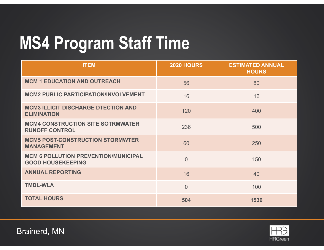# **MS4 Program Staff Time**

| <b>ITEM</b>                                                             | <b>2020 HOURS</b> | <b>ESTIMATED ANNUAL</b><br><b>HOURS</b> |
|-------------------------------------------------------------------------|-------------------|-----------------------------------------|
| <b>MCM 1 EDUCATION AND OUTREACH</b>                                     | 56                | 80                                      |
| <b>MCM2 PUBLIC PARTICIPATION/INVOLVEMENT</b>                            | 16                | 16                                      |
| <b>MCM3 ILLICIT DISCHARGE DTECTION AND</b><br><b>ELIMINATION</b>        | 120               | 400                                     |
| <b>MCM4 CONSTRUCTION SITE SOTRMWATER</b><br><b>RUNOFF CONTROL</b>       | 236               | 500                                     |
| <b>MCM5 POST-CONSTRUCTION STORMWTER</b><br><b>MANAGEMENT</b>            | 60                | 250                                     |
| <b>MCM 6 POLLUTION PREVENTION/MUNICIPAL</b><br><b>GOOD HOUSEKEEPING</b> | $\overline{0}$    | 150                                     |
| <b>ANNUAL REPORTING</b>                                                 | 16                | 40                                      |
| <b>TMDL-WLA</b>                                                         | $\overline{0}$    | 100                                     |
| <b>TOTAL HOURS</b>                                                      | 504               | 1536                                    |

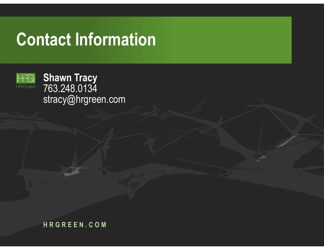### **Contact Information**



**Shawn Tracy** 763.248.0134 stracy@hrgreen.com

**HRGREEN.COM**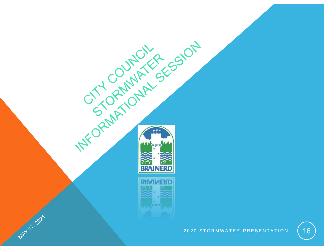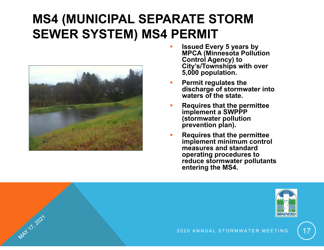#### **MS4 (MUNICIPAL SEPARATE STORM SEWER SYSTEM) MS4 PERMIT**



MAY 17.2021

- **Issued Every 5 years by MPCA (Minnesota Pollution Control Agency) to City's/Townships with over 5,000 population.**
- П **Permit regulates the discharge of stormwater into waters of the state.**
- П **Requires that the permittee implement a SWPPP (stormwater pollution prevention plan).**
- П **Requires that the permittee implement minimum control measures and standard operating procedures to reduce stormwater pollutants entering the MS4.**

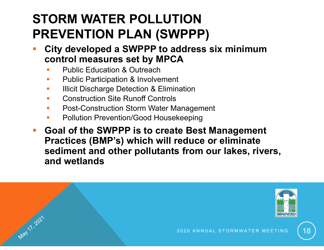#### **STORM WATER POLLUTIONPREVENTION PLAN (SWPPP)**

- **City developed a SWPPP to address six minimum control measures set by MPCA**
	- Public Education & Outreach

May 7, 2021

- Г Public Participation & Involvement
- Г Illicit Discharge Detection & Elimination
- Construction Site Runoff Controls
- Г Post-Construction Storm Water Management
- Г Pollution Prevention/Good Housekeeping
- **Goal of the SWPPP is to create Best Management Practices (BMP's) which will reduce or eliminate sediment and other pollutants from our lakes, rivers, and wetlands**

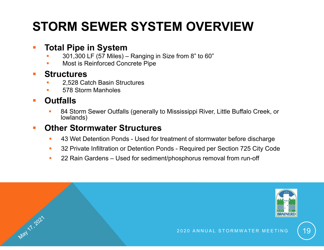### **STORM SEWER SYSTEM OVERVIEW**

#### **Total Pipe in System**

- н 301,300 LF (57 Miles) – Ranging in Size from 8" to 60"
- н Most is Reinforced Concrete Pipe

#### **Service Service Structures**

- г 2,528 Catch Basin Structures
- г 578 Storm Manholes

#### **Outfalls**

May 1 . 2021

П 84 Storm Sewer Outfalls (generally to Mississippi River, Little Buffalo Creek, or lowlands)

#### **Other Stormwater Structures**

- 43 Wet Detention Ponds Used for treatment of stormwater before discharge
- $\blacksquare$ 32 Private Infiltration or Detention Ponds - Required per Section 725 City Code
- $\mathcal{L}_{\mathrm{eff}}$ 22 Rain Gardens – Used for sediment/phosphorus removal from run-off

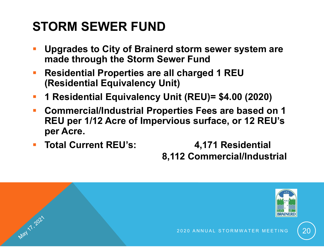### **STORM SEWER FUND**

May 71, 2021

- **Upgrades to City of Brainerd storm sewer system are made through the Storm Sewer Fund**
- **Residential Properties are all charged 1 REU (Residential Equivalency Unit)**
- Ŧ **1 Residential Equivalency Unit (REU)= \$4.00 (2020)**
- $\mathcal{L}_{\mathcal{A}}$  **Commercial/Industrial Properties Fees are based on 1 REU per 1/12 Acre of Impervious surface, or 12 REU's per Acre.**
- **Total Current REU's: 4,171 Residential**

**8,112 Commercial/Industrial**

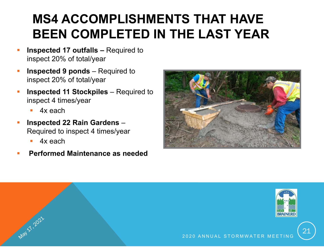#### **MS4 ACCOMPLISHMENTS THAT HAVE BEEN COMPLETED IN THE LAST YEAR**

- **Inspected 17 outfalls –** Required to inspect 20% of total/year
- **Inspected 9 ponds** Required to inspect 20% of total/year
- **Inspected 11 Stockpiles** Required to inspect 4 times/year
	- 4x each
- **Inspected 22 Rain Gardens** Required to inspect 4 times/year
	- Г 4x each

May 21, 2021

**Performed Maintenance as needed**



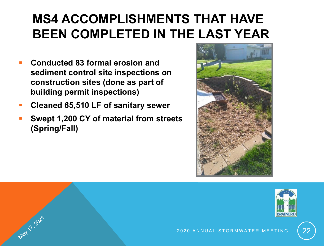#### **MS4 ACCOMPLISHMENTS THAT HAVE BEEN COMPLETED IN THE LAST YEAR**

- **Service Service Conducted 83 formal erosion and sediment control site inspections on construction sites (done as part of building permit inspections)**
- Ξ **Cleaned 65,510 LF of sanitary sewer**

May 71.2021

Ξ **Swept 1,200 CY of material from streets (Spring/Fall)**